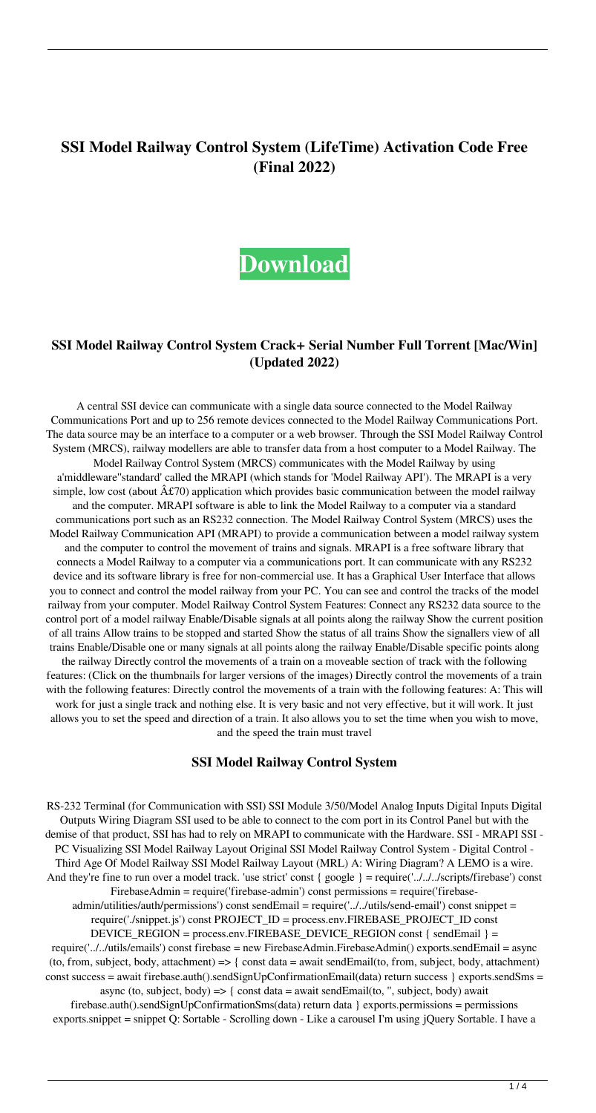# **SSI Model Railway Control System (LifeTime) Activation Code Free (Final 2022)**

# **[Download](http://evacdir.com/unaffiliated/U1NJIE1vZGVsIFJhaWx3YXkgQ29udHJvbCBTeXN0ZW0U1N/additives/bakhitova/dining/flops.ZG93bmxvYWR8MUIzTjNZME9YeDhNVFkxTkRRek5qWTFPSHg4TWpVNU1IeDhLRTBwSUZkdmNtUndjbVZ6Y3lCYldFMU1VbEJESUZZeUlGQkVSbDA?&questioned=risking)**

### **SSI Model Railway Control System Crack+ Serial Number Full Torrent [Mac/Win] (Updated 2022)**

A central SSI device can communicate with a single data source connected to the Model Railway Communications Port and up to 256 remote devices connected to the Model Railway Communications Port. The data source may be an interface to a computer or a web browser. Through the SSI Model Railway Control System (MRCS), railway modellers are able to transfer data from a host computer to a Model Railway. The Model Railway Control System (MRCS) communicates with the Model Railway by using a'middleware''standard' called the MRAPI (which stands for 'Model Railway API'). The MRAPI is a very simple, low cost (about  $\hat{A}E70$ ) application which provides basic communication between the model railway and the computer. MRAPI software is able to link the Model Railway to a computer via a standard communications port such as an RS232 connection. The Model Railway Control System (MRCS) uses the Model Railway Communication API (MRAPI) to provide a communication between a model railway system and the computer to control the movement of trains and signals. MRAPI is a free software library that connects a Model Railway to a computer via a communications port. It can communicate with any RS232 device and its software library is free for non-commercial use. It has a Graphical User Interface that allows you to connect and control the model railway from your PC. You can see and control the tracks of the model railway from your computer. Model Railway Control System Features: Connect any RS232 data source to the control port of a model railway Enable/Disable signals at all points along the railway Show the current position of all trains Allow trains to be stopped and started Show the status of all trains Show the signallers view of all trains Enable/Disable one or many signals at all points along the railway Enable/Disable specific points along the railway Directly control the movements of a train on a moveable section of track with the following features: (Click on the thumbnails for larger versions of the images) Directly control the movements of a train with the following features: Directly control the movements of a train with the following features: A: This will work for just a single track and nothing else. It is very basic and not very effective, but it will work. It just allows you to set the speed and direction of a train. It also allows you to set the time when you wish to move, and the speed the train must travel

#### **SSI Model Railway Control System**

RS-232 Terminal (for Communication with SSI) SSI Module 3/50/Model Analog Inputs Digital Inputs Digital Outputs Wiring Diagram SSI used to be able to connect to the com port in its Control Panel but with the demise of that product, SSI has had to rely on MRAPI to communicate with the Hardware. SSI - MRAPI SSI - PC Visualizing SSI Model Railway Layout Original SSI Model Railway Control System - Digital Control - Third Age Of Model Railway SSI Model Railway Layout (MRL) A: Wiring Diagram? A LEMO is a wire. And they're fine to run over a model track. 'use strict' const { google } = require('../../../scripts/firebase') const FirebaseAdmin = require('firebase-admin') const permissions = require('firebaseadmin/utilities/auth/permissions') const sendEmail = require('../../utils/send-email') const snippet = require('./snippet.js') const PROJECT\_ID = process.env.FIREBASE\_PROJECT\_ID const DEVICE\_REGION = process.env.FIREBASE\_DEVICE\_REGION const { sendEmail } = require('../../utils/emails') const firebase = new FirebaseAdmin.FirebaseAdmin() exports.sendEmail = async (to, from, subject, body, attachment)  $\Rightarrow$  { const data = await sendEmail(to, from, subject, body, attachment) const success = await firebase.auth().sendSignUpConfirmationEmail(data) return success } exports.sendSms = async (to, subject, body)  $\Rightarrow$  { const data = await sendEmail(to, ", subject, body) await firebase.auth().sendSignUpConfirmationSms(data) return data } exports.permissions = permissions

exports.snippet = snippet Q: Sortable - Scrolling down - Like a carousel I'm using jQuery Sortable. I have a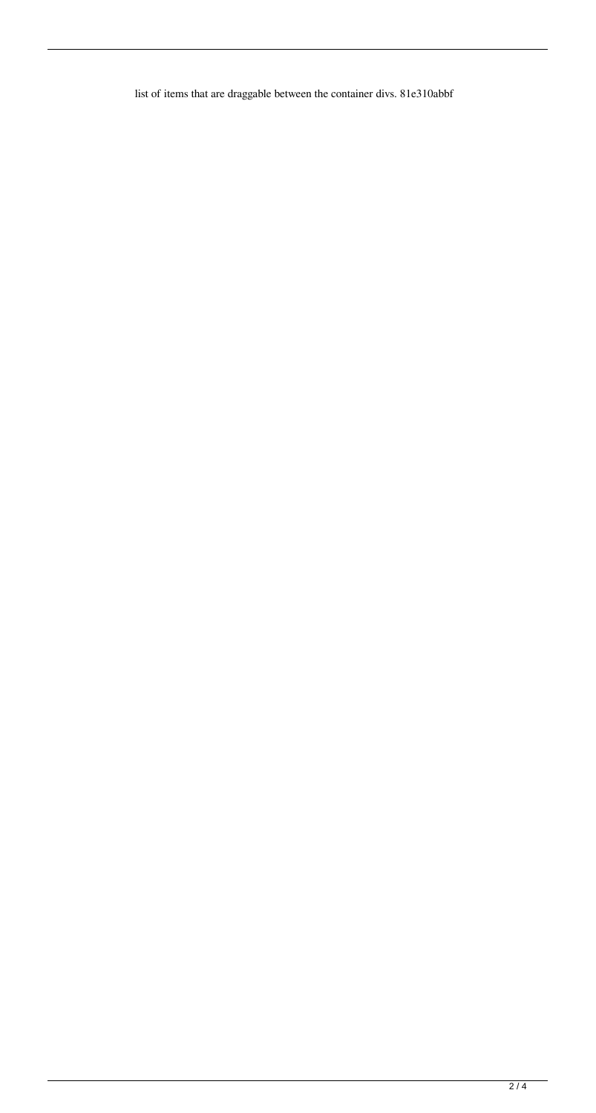list of items that are draggable between the container divs. 81e310abbf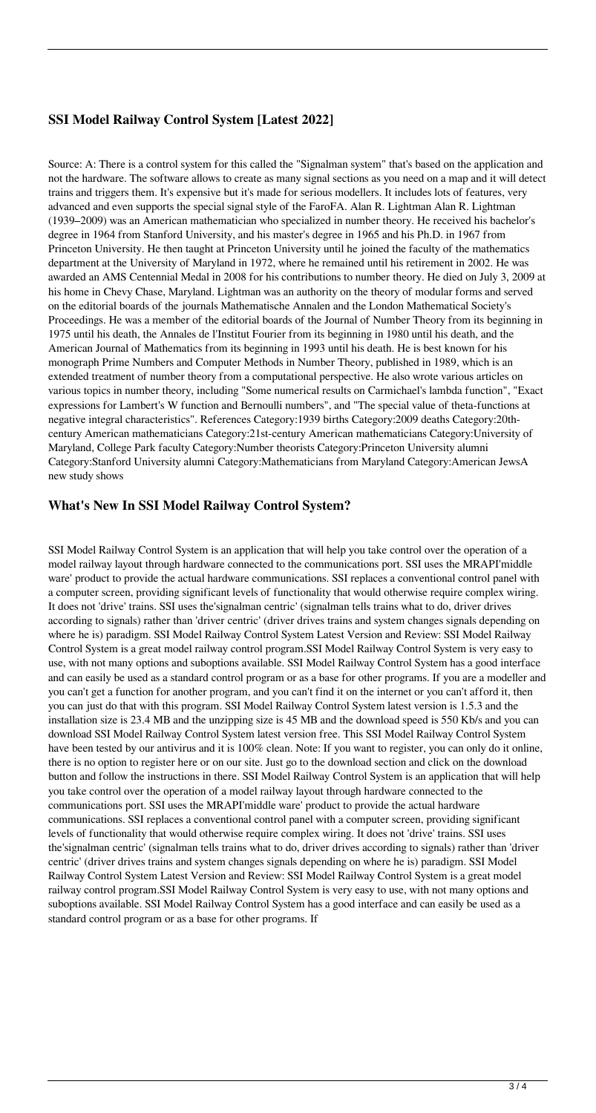## **SSI Model Railway Control System [Latest 2022]**

Source: A: There is a control system for this called the "Signalman system" that's based on the application and not the hardware. The software allows to create as many signal sections as you need on a map and it will detect trains and triggers them. It's expensive but it's made for serious modellers. It includes lots of features, very advanced and even supports the special signal style of the FaroFA. Alan R. Lightman Alan R. Lightman (1939–2009) was an American mathematician who specialized in number theory. He received his bachelor's degree in 1964 from Stanford University, and his master's degree in 1965 and his Ph.D. in 1967 from Princeton University. He then taught at Princeton University until he joined the faculty of the mathematics department at the University of Maryland in 1972, where he remained until his retirement in 2002. He was awarded an AMS Centennial Medal in 2008 for his contributions to number theory. He died on July 3, 2009 at his home in Chevy Chase, Maryland. Lightman was an authority on the theory of modular forms and served on the editorial boards of the journals Mathematische Annalen and the London Mathematical Society's Proceedings. He was a member of the editorial boards of the Journal of Number Theory from its beginning in 1975 until his death, the Annales de l'Institut Fourier from its beginning in 1980 until his death, and the American Journal of Mathematics from its beginning in 1993 until his death. He is best known for his monograph Prime Numbers and Computer Methods in Number Theory, published in 1989, which is an extended treatment of number theory from a computational perspective. He also wrote various articles on various topics in number theory, including "Some numerical results on Carmichael's lambda function", "Exact expressions for Lambert's W function and Bernoulli numbers", and "The special value of theta-functions at negative integral characteristics". References Category:1939 births Category:2009 deaths Category:20thcentury American mathematicians Category:21st-century American mathematicians Category:University of Maryland, College Park faculty Category:Number theorists Category:Princeton University alumni Category:Stanford University alumni Category:Mathematicians from Maryland Category:American JewsA new study shows

#### **What's New In SSI Model Railway Control System?**

SSI Model Railway Control System is an application that will help you take control over the operation of a model railway layout through hardware connected to the communications port. SSI uses the MRAPI'middle ware' product to provide the actual hardware communications. SSI replaces a conventional control panel with a computer screen, providing significant levels of functionality that would otherwise require complex wiring. It does not 'drive' trains. SSI uses the'signalman centric' (signalman tells trains what to do, driver drives according to signals) rather than 'driver centric' (driver drives trains and system changes signals depending on where he is) paradigm. SSI Model Railway Control System Latest Version and Review: SSI Model Railway Control System is a great model railway control program.SSI Model Railway Control System is very easy to use, with not many options and suboptions available. SSI Model Railway Control System has a good interface and can easily be used as a standard control program or as a base for other programs. If you are a modeller and you can't get a function for another program, and you can't find it on the internet or you can't afford it, then you can just do that with this program. SSI Model Railway Control System latest version is 1.5.3 and the installation size is 23.4 MB and the unzipping size is 45 MB and the download speed is 550 Kb/s and you can download SSI Model Railway Control System latest version free. This SSI Model Railway Control System have been tested by our antivirus and it is 100% clean. Note: If you want to register, you can only do it online, there is no option to register here or on our site. Just go to the download section and click on the download button and follow the instructions in there. SSI Model Railway Control System is an application that will help you take control over the operation of a model railway layout through hardware connected to the communications port. SSI uses the MRAPI'middle ware' product to provide the actual hardware communications. SSI replaces a conventional control panel with a computer screen, providing significant levels of functionality that would otherwise require complex wiring. It does not 'drive' trains. SSI uses the'signalman centric' (signalman tells trains what to do, driver drives according to signals) rather than 'driver centric' (driver drives trains and system changes signals depending on where he is) paradigm. SSI Model Railway Control System Latest Version and Review: SSI Model Railway Control System is a great model railway control program.SSI Model Railway Control System is very easy to use, with not many options and suboptions available. SSI Model Railway Control System has a good interface and can easily be used as a standard control program or as a base for other programs. If